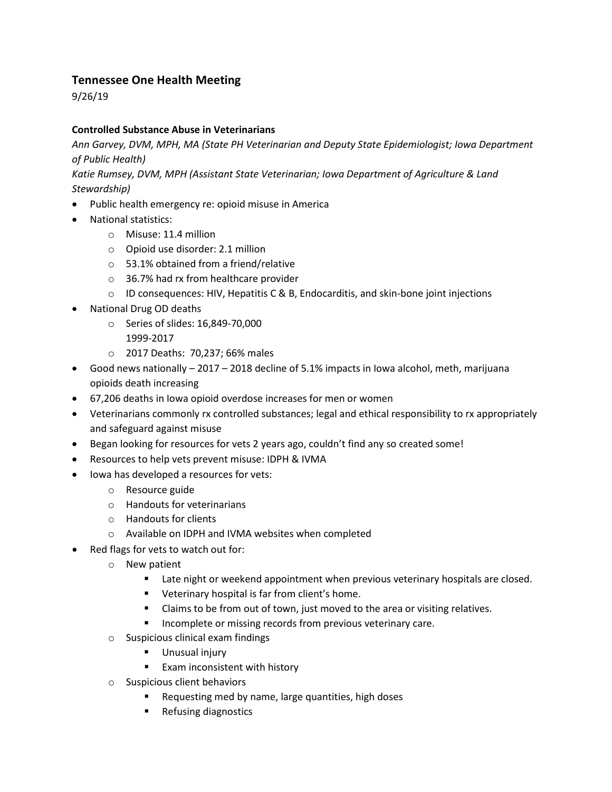## **Tennessee One Health Meeting**

9/26/19

## **Controlled Substance Abuse in Veterinarians**

*Ann Garvey, DVM, MPH, MA (State PH Veterinarian and Deputy State Epidemiologist; Iowa Department of Public Health)* 

*Katie Rumsey, DVM, MPH (Assistant State Veterinarian; Iowa Department of Agriculture & Land Stewardship)*

- Public health emergency re: opioid misuse in America
- National statistics:
	- o Misuse: 11.4 million
	- o Opioid use disorder: 2.1 million
	- o 53.1% obtained from a friend/relative
	- o 36.7% had rx from healthcare provider
	- $\circ$  ID consequences: HIV, Hepatitis C & B, Endocarditis, and skin-bone joint injections
- National Drug OD deaths
	- o Series of slides: 16,849-70,000
		- 1999-2017
	- o 2017 Deaths: 70,237; 66% males
- Good news nationally 2017 2018 decline of 5.1% impacts in Iowa alcohol, meth, marijuana opioids death increasing
- 67,206 deaths in Iowa opioid overdose increases for men or women
- Veterinarians commonly rx controlled substances; legal and ethical responsibility to rx appropriately and safeguard against misuse
- Began looking for resources for vets 2 years ago, couldn't find any so created some!
- Resources to help vets prevent misuse: IDPH & IVMA
- Iowa has developed a resources for vets:
	- o Resource guide
	- o Handouts for veterinarians
	- o Handouts for clients
	- o Available on IDPH and IVMA websites when completed
- Red flags for vets to watch out for:
	- o New patient
		- **Late night or weekend appointment when previous veterinary hospitals are closed.**
		- **•** Veterinary hospital is far from client's home.
		- Claims to be from out of town, just moved to the area or visiting relatives.
		- **Incomplete or missing records from previous veterinary care.**
	- o Suspicious clinical exam findings
		- **Unusual injury**
		- **Exam inconsistent with history**
	- o Suspicious client behaviors
		- **Requesting med by name, large quantities, high doses**
		- Refusing diagnostics